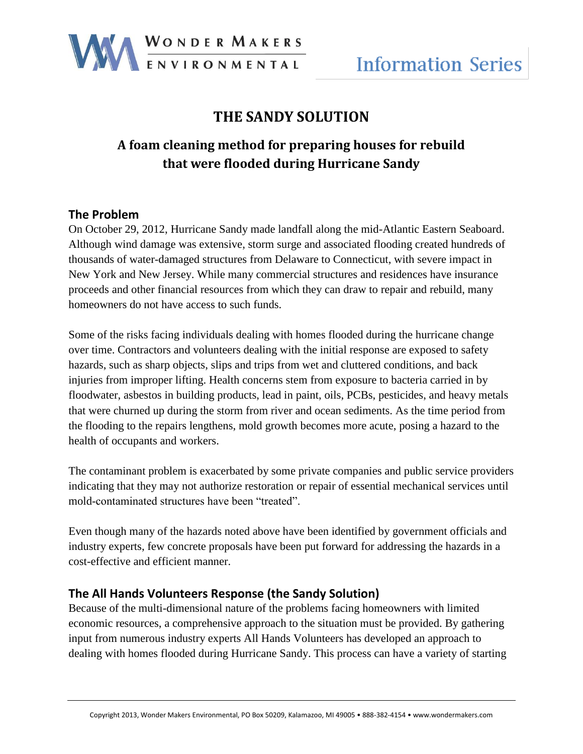

## **THE SANDY SOLUTION**

# **A foam cleaning method for preparing houses for rebuild that were flooded during Hurricane Sandy**

#### **The Problem**

On October 29, 2012, Hurricane Sandy made landfall along the mid-Atlantic Eastern Seaboard. Although wind damage was extensive, storm surge and associated flooding created hundreds of thousands of water-damaged structures from Delaware to Connecticut, with severe impact in New York and New Jersey. While many commercial structures and residences have insurance proceeds and other financial resources from which they can draw to repair and rebuild, many homeowners do not have access to such funds.

Some of the risks facing individuals dealing with homes flooded during the hurricane change over time. Contractors and volunteers dealing with the initial response are exposed to safety hazards, such as sharp objects, slips and trips from wet and cluttered conditions, and back injuries from improper lifting. Health concerns stem from exposure to bacteria carried in by floodwater, asbestos in building products, lead in paint, oils, PCBs, pesticides, and heavy metals that were churned up during the storm from river and ocean sediments. As the time period from the flooding to the repairs lengthens, mold growth becomes more acute, posing a hazard to the health of occupants and workers.

The contaminant problem is exacerbated by some private companies and public service providers indicating that they may not authorize restoration or repair of essential mechanical services until mold-contaminated structures have been "treated".

Even though many of the hazards noted above have been identified by government officials and industry experts, few concrete proposals have been put forward for addressing the hazards in a cost-effective and efficient manner.

#### **The All Hands Volunteers Response (the Sandy Solution)**

Because of the multi-dimensional nature of the problems facing homeowners with limited economic resources, a comprehensive approach to the situation must be provided. By gathering input from numerous industry experts All Hands Volunteers has developed an approach to dealing with homes flooded during Hurricane Sandy. This process can have a variety of starting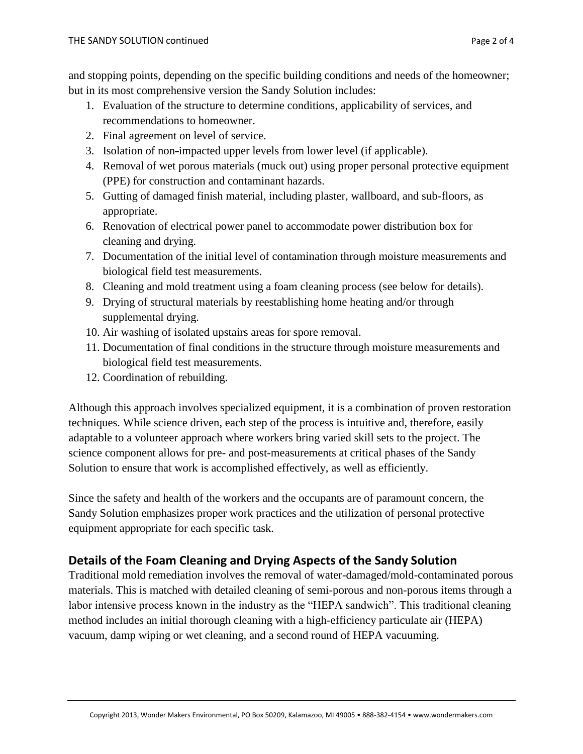and stopping points, depending on the specific building conditions and needs of the homeowner; but in its most comprehensive version the Sandy Solution includes:

- 1. Evaluation of the structure to determine conditions, applicability of services, and recommendations to homeowner.
- 2. Final agreement on level of service.
- 3. Isolation of non-impacted upper levels from lower level (if applicable).
- 4. Removal of wet porous materials (muck out) using proper personal protective equipment (PPE) for construction and contaminant hazards.
- 5. Gutting of damaged finish material, including plaster, wallboard, and sub-floors, as appropriate.
- 6. Renovation of electrical power panel to accommodate power distribution box for cleaning and drying.
- 7. Documentation of the initial level of contamination through moisture measurements and biological field test measurements.
- 8. Cleaning and mold treatment using a foam cleaning process (see below for details).
- 9. Drying of structural materials by reestablishing home heating and/or through supplemental drying.
- 10. Air washing of isolated upstairs areas for spore removal.
- 11. Documentation of final conditions in the structure through moisture measurements and biological field test measurements.
- 12. Coordination of rebuilding.

Although this approach involves specialized equipment, it is a combination of proven restoration techniques. While science driven, each step of the process is intuitive and, therefore, easily adaptable to a volunteer approach where workers bring varied skill sets to the project. The science component allows for pre- and post-measurements at critical phases of the Sandy Solution to ensure that work is accomplished effectively, as well as efficiently.

Since the safety and health of the workers and the occupants are of paramount concern, the Sandy Solution emphasizes proper work practices and the utilization of personal protective equipment appropriate for each specific task.

### **Details of the Foam Cleaning and Drying Aspects of the Sandy Solution**

Traditional mold remediation involves the removal of water-damaged/mold-contaminated porous materials. This is matched with detailed cleaning of semi-porous and non-porous items through a labor intensive process known in the industry as the "HEPA sandwich". This traditional cleaning method includes an initial thorough cleaning with a high-efficiency particulate air (HEPA) vacuum, damp wiping or wet cleaning, and a second round of HEPA vacuuming.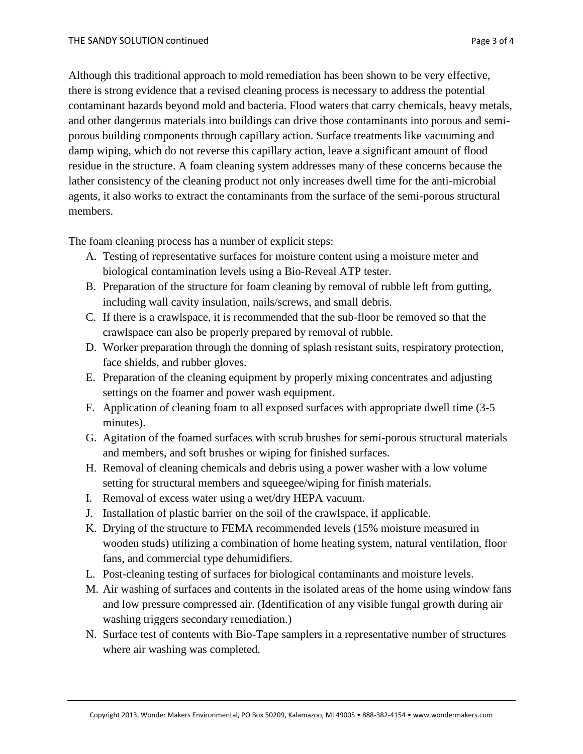Although this traditional approach to mold remediation has been shown to be very effective, there is strong evidence that a revised cleaning process is necessary to address the potential contaminant hazards beyond mold and bacteria. Flood waters that carry chemicals, heavy metals, and other dangerous materials into buildings can drive those contaminants into porous and semiporous building components through capillary action. Surface treatments like vacuuming and damp wiping, which do not reverse this capillary action, leave a significant amount of flood residue in the structure. A foam cleaning system addresses many of these concerns because the lather consistency of the cleaning product not only increases dwell time for the anti-microbial agents, it also works to extract the contaminants from the surface of the semi-porous structural members.

The foam cleaning process has a number of explicit steps:

- A. Testing of representative surfaces for moisture content using a moisture meter and biological contamination levels using a Bio-Reveal ATP tester.
- B. Preparation of the structure for foam cleaning by removal of rubble left from gutting, including wall cavity insulation, nails/screws, and small debris.
- C. If there is a crawlspace, it is recommended that the sub-floor be removed so that the crawlspace can also be properly prepared by removal of rubble.
- D. Worker preparation through the donning of splash resistant suits, respiratory protection, face shields, and rubber gloves.
- E. Preparation of the cleaning equipment by properly mixing concentrates and adjusting settings on the foamer and power wash equipment.
- F. Application of cleaning foam to all exposed surfaces with appropriate dwell time (3-5 minutes).
- G. Agitation of the foamed surfaces with scrub brushes for semi-porous structural materials and members, and soft brushes or wiping for finished surfaces.
- H. Removal of cleaning chemicals and debris using a power washer with a low volume setting for structural members and squeegee/wiping for finish materials.
- I. Removal of excess water using a wet/dry HEPA vacuum.
- J. Installation of plastic barrier on the soil of the crawlspace, if applicable.
- K. Drying of the structure to FEMA recommended levels (15% moisture measured in wooden studs) utilizing a combination of home heating system, natural ventilation, floor fans, and commercial type dehumidifiers.
- L. Post-cleaning testing of surfaces for biological contaminants and moisture levels.
- M. Air washing of surfaces and contents in the isolated areas of the home using window fans and low pressure compressed air. (Identification of any visible fungal growth during air washing triggers secondary remediation.)
- N. Surface test of contents with Bio-Tape samplers in a representative number of structures where air washing was completed.